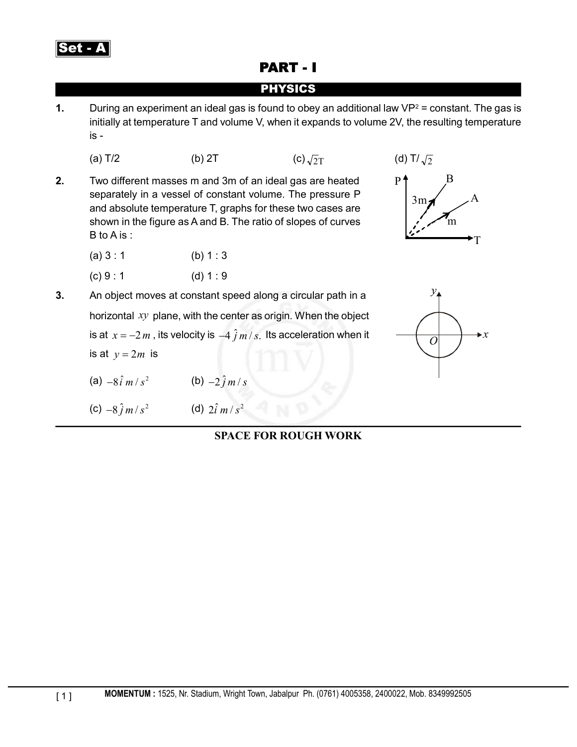

# PART - I

## PHYSICS

**1.** During an experiment an ideal gas is found to obey an additional law VP<sup>2</sup> = constant. The gas is initially at temperature T and volume V, when it expands to volume 2V, the resulting temperature is -

(a) T/2 (b) 2T (c) 
$$
\sqrt{2}T
$$
 (d) T/ $\sqrt{2}$ 

- **2.** Two different masses m and 3m of an ideal gas are heated separately in a vessel of constant volume. The pressure P and absolute temperature T, graphs for these two cases are shown in the figure as A and B. The ratio of slopes of curves B to A is :
	- $(a) 3 : 1$  (b) 1 : 3
	- (c)  $9:1$  (d)  $1:9$
- **3.** An object moves at constant speed along a circular path in a horizontal *xy* plane, with the center as origin. When the object is at  $x = -2m$ , its velocity is  $-4 \hat{j}m/s$ . Its acceleration when it is at  $y = 2m$  is
	- (a)  $-8 \hat{i} m/s^2$  (b)  $-2 \hat{j} m/s$
	- (c)  $-8 \hat{j} m/s^2$  (d)  $2 \hat{i} m/s^2$



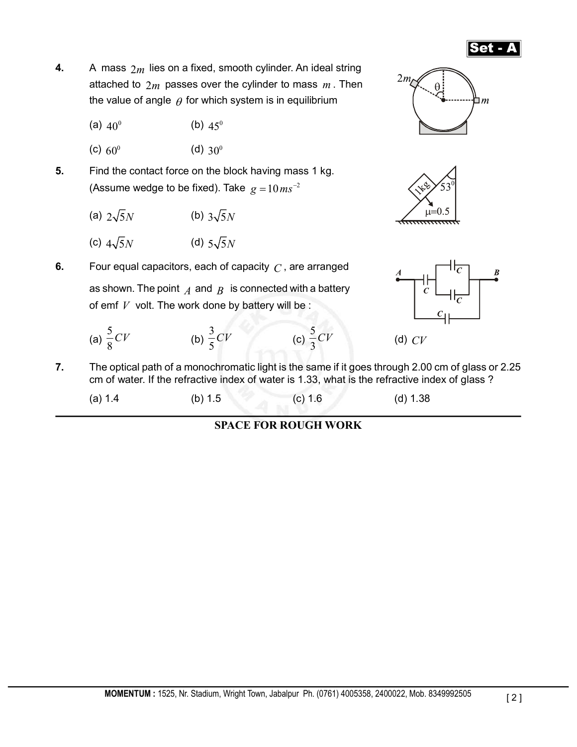- Set A
- **4.** A mass 2*m* lies on a fixed, smooth cylinder. An ideal string attached to  $2m$  passes over the cylinder to mass  $m$ . Then the value of angle  $\theta$  for which system is in equilibrium
	- (a)  $40^{\circ}$  (b)  $45^{\circ}$
	- (c)  $60^{\circ}$  (d)  $30^{\circ}$
- **5.** Find the contact force on the block having mass 1 kg. (Assume wedge to be fixed). Take  $g = 10 m s^{-2}$ 
	- (a)  $2\sqrt{5}N$  (b)  $3\sqrt{5}N$
	- (c)  $4\sqrt{5}N$  (d)  $5\sqrt{5}N$

**6.** Four equal capacitors, each of capacity *C* , are arranged as shown. The point  $\overline{A}$  and  $\overline{B}$  is connected with a battery of emf *V* volt. The work done by battery will be :

- (a) 5 8 *CV* (b)  $\frac{3}{5}$ 5  $CV$  (c)  $\frac{5}{3}$ 3
- **7.** The optical path of a monochromatic light is the same if it goes through 2.00 cm of glass or 2.25 cm of water. If the refractive index of water is 1.33, what is the refractive index of glass ?
	- (a) 1.4 (b) 1.5 (c) 1.6 (d) 1.38

### **SPACE FOR ROUGH WORK**







*CV* (d) *CV*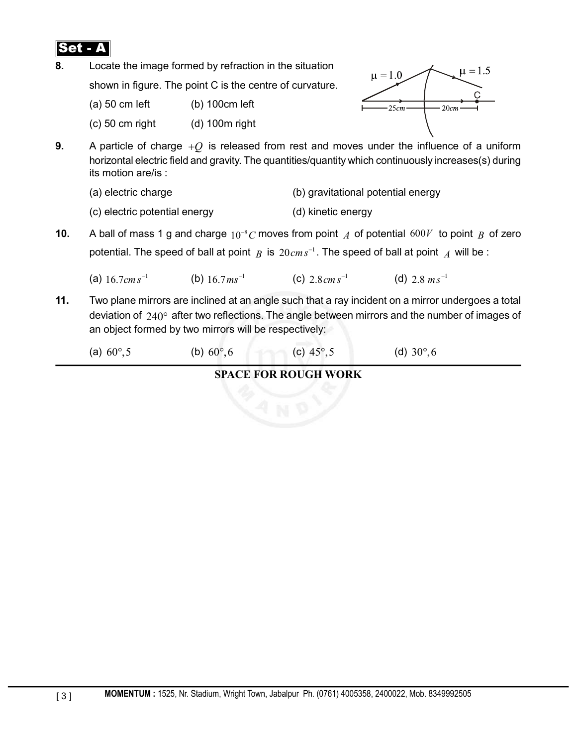

**8.** Locate the image formed by refraction in the situation

shown in figure. The point C is the centre of curvature.

 $(a)$  50 cm left (b) 100cm left

(c) 50 cm right (d) 100m right



- **9.** A particle of charge +*Q* is released from rest and moves under the influence of a uniform horizontal electric field and gravity. The quantities/quantity which continuously increases(s) during its motion are/is :
	- (a) electric charge (b) gravitational potential energy
	- (c) electric potential energy (d) kinetic energy
- **10.** A ball of mass 1 g and charge  $10^{-8}$ C moves from point  $\overline{A}$  of potential 600*V* to point  $\overline{B}$  of zero potential. The speed of ball at point *B* is  $20 \text{ cm s}^{-1}$ . The speed of ball at point *A* will be :
	- (a)  $16.7 \text{ cm s}^{-1}$  (b)  $16.7 \text{ m s}^{-1}$  (c)  $2.8 \text{ cm s}^{-1}$  (d)  $2.8 \text{ m s}^{-1}$
- **11.** Two plane mirrors are inclined at an angle such that a ray incident on a mirror undergoes a total deviation of 240° after two reflections. The angle between mirrors and the number of images of an object formed by two mirrors will be respectively:
	- (a)  $60^{\circ},5$  (b)  $60^{\circ},6$  (c)  $45^{\circ},5$  (d)  $30^{\circ},6$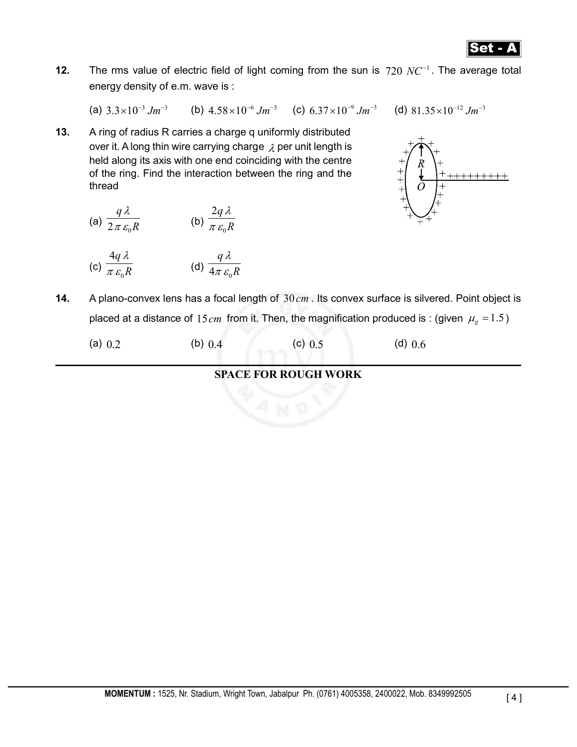

**12.** The rms value of electric field of light coming from the sun is  $720$   $NC^{-1}$ . The average total energy density of e.m. wave is :

(a)  $3.3 \times 10^{-3}$  Jm<sup>-3</sup> (b)  $4.58 \times 10^{-6}$  Jm<sup>-3</sup> (c)  $6.37 \times 10^{-9}$  Jm<sup>-3</sup> (d)  $81.35 \times 10^{-12}$  Jm<sup>-3</sup>

**13.** A ring of radius R carries a charge q uniformly distributed over it. A long thin wire carrying charge  $\lambda$  per unit length is held along its axis with one end coinciding with the centre of the ring. Find the interaction between the ring and the thread

(a) 
$$
\frac{q\lambda}{2\pi \varepsilon_0 R}
$$
 (b)  $\frac{2q\lambda}{\pi \varepsilon_0 R}$ 

(c) 
$$
\frac{4q\lambda}{\pi \varepsilon_0 R}
$$
 \t\t (d)  $\frac{q\lambda}{4\pi \varepsilon_0 R}$ 



**14.** A plano-convex lens has a focal length of 30*cm* . Its convex surface is silvered. Point object is placed at a distance of 15*cm* from it. Then, the magnification produced is : (given  $\mu_{g} = 1.5$ )

|  | (a) $0.2$ | (b) $0.4$ | (c) 0.5 | $(d)$ 0.6 |
|--|-----------|-----------|---------|-----------|
|--|-----------|-----------|---------|-----------|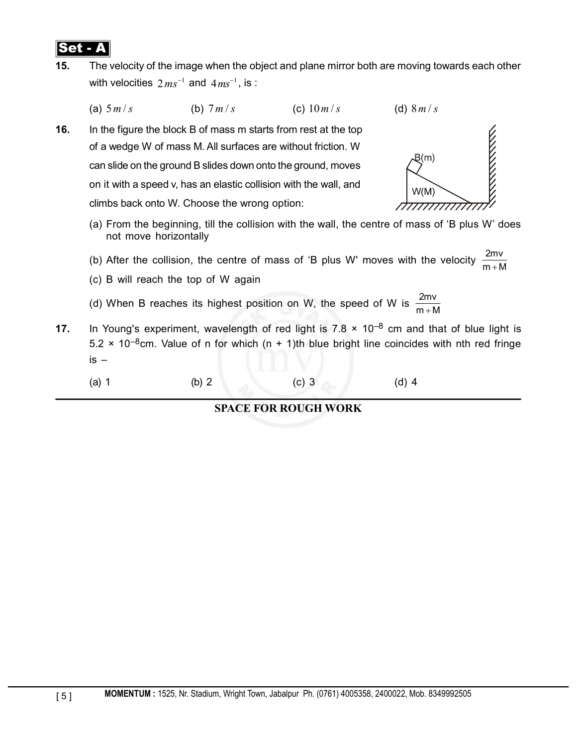

**15.** The velocity of the image when the object and plane mirror both are moving towards each other with velocities  $2 ms^{-1}$  and  $4 ms^{-1}$ , is :

(a)  $5 m/s$  (b)  $7 m/s$  (c)  $10 m/s$  (d)  $8 m/s$ 

**16.** In the figure the block B of mass m starts from rest at the top of a wedge W of mass M. All surfaces are without friction. W can slide on the ground B slides down onto the ground, moves on it with a speed v, has an elastic collision with the wall, and climbs back onto W. Choose the wrong option:



- (a) From the beginning, till the collision with the wall, the centre of mass of 'B plus W' does not move horizontally
- (b) After the collision, the centre of mass of 'B plus W' moves with the velocity 2mv +
- (c) B will reach the top of W again
- (d) When B reaches its highest position on W, the speed of W is  $\frac{2mv}{m+M}$ +
- **17.** In Young's experiment, wavelength of red light is  $7.8 \times 10^{-8}$  cm and that of blue light is  $5.2 \times 10^{-8}$ cm. Value of n for which (n + 1)th blue bright line coincides with nth red fringe is –
	- (a) 1 (b) 2 (c) 3 (d) 4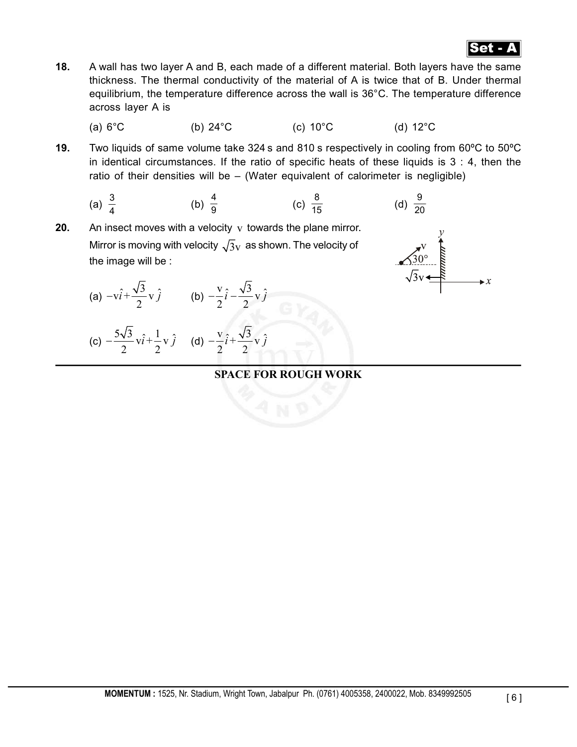

- **18.** A wall has two layer A and B, each made of a different material. Both layers have the same thickness. The thermal conductivity of the material of A is twice that of B. Under thermal equilibrium, the temperature difference across the wall is 36°C. The temperature difference across layer A is
	- (a)  $6^{\circ}$ C (b)  $24^{\circ}$ C (c)  $10^{\circ}$ C (d)  $12^{\circ}$ C
- **19.** Two liquids of same volume take 324 s and 810 s respectively in cooling from 60ºC to 50ºC in identical circumstances. If the ratio of specific heats of these liquids is  $3 : 4$ , then the ratio of their densities will be – (Water equivalent of calorimeter is negligible)

(a) 
$$
\frac{3}{4}
$$
 (b)  $\frac{4}{9}$  (c)  $\frac{8}{15}$  (d)  $\frac{9}{20}$ 

**20.** An insect moves with a velocity v towards the plane mirror. Mirror is moving with velocity  $\sqrt{3}v$  as shown. The velocity of the image will be :

(a) 
$$
-v\hat{i} + \frac{\sqrt{3}}{2}v\hat{j}
$$
 (b)  $-\frac{v}{2}\hat{i} - \frac{\sqrt{3}}{2}v\hat{j}$ 

(c) 
$$
-\frac{5\sqrt{3}}{2}v\hat{i} + \frac{1}{2}v\hat{j}
$$
 (d)  $-\frac{v}{2}\hat{i} + \frac{\sqrt{3}}{2}v\hat{j}$ 

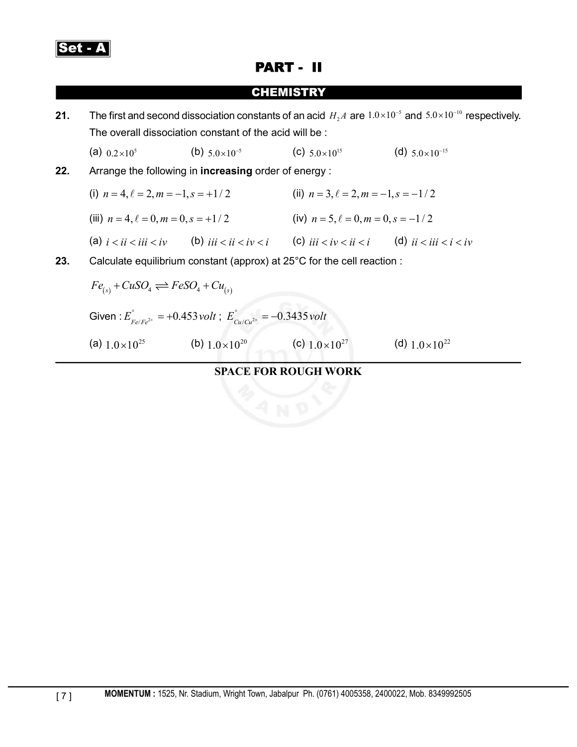

# PART - II

### **CHEMISTRY**

**21.** The first and second dissociation constants of an acid  $H_1A$  are  $1.0 \times 10^{-5}$  and  $5.0 \times 10^{-10}$  respectively. The overall dissociation constant of the acid will be :

(a)  $0.2 \times 10^5$  (b)  $5.0 \times 10^{-5}$  (c)  $5.0 \times 10^{15}$  (d)  $5.0 \times 10^{-15}$ 

- **22.** Arrange the following in **increasing** order of energy :
- (i)  $n = 4, \ell = 2, m = -1, s = +1/2$  <br> (ii)  $n = 3, \ell = 2, m = -1, s = -1/2$ (iii)  $n = 4, l = 0, m = 0, s = +1/2$  (iv)  $n = 5, l = 0, m = 0, s = -1/2$ (a)  $i < ii < iv$  (b)  $iii < ii < iv < i$  (c)  $iii < iv < ii < i$  (d)  $ii < iii < i < iv$ **23.** Calculate equilibrium constant (approx) at 25°C for the cell reaction :  $F_{\alpha}S\Omega \rightarrow F_{\alpha}S\Omega + C_{\alpha}$

$$
Fe_{(s)} + CuSO_4 \rightleftharpoons FeSO_4 + Cu_{(s)}
$$
  
Given :  $E_{Fe/Fe^{2+}}^{\circ} = +0.453 \text{ volt}$ ;  $E_{Cu/Cu^{2+}}^{\circ} = -0.3435 \text{ volt}$ 

(a) 
$$
1.0 \times 10^{25}
$$
 (b)  $1.0 \times 10^{20}$  (c)  $1.0 \times 10^{27}$  (d)  $1.0 \times 10^{22}$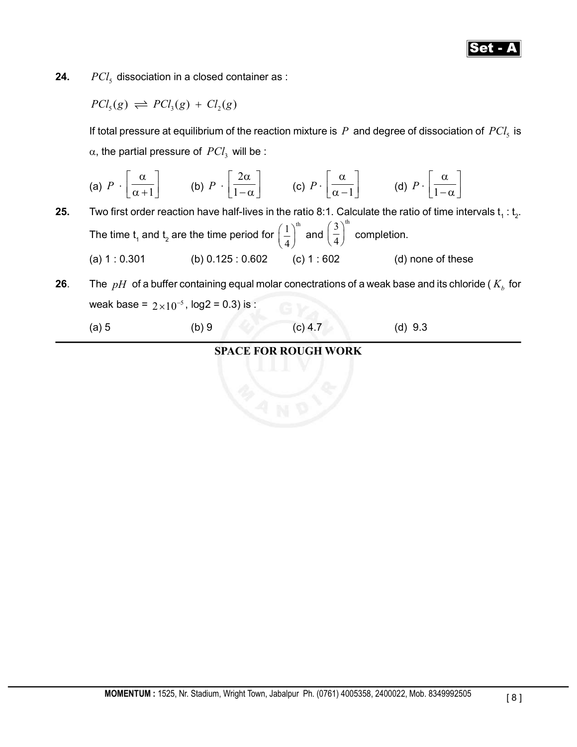# Set - A

**24.**  $PCl_5$  dissociation in a closed container as :

$$
PCl_5(g) \rightleftharpoons PCl_3(g) + Cl_2(g)
$$

If total pressure at equilibrium of the reaction mixture is  $P$  and degree of dissociation of  $PCl<sub>5</sub>$  is  $\alpha$ , the partial pressure of  $\mathit{PCl}_3$  will be :

(a) 
$$
P \cdot \left[\frac{\alpha}{\alpha+1}\right]
$$
 (b)  $P \cdot \left[\frac{2\alpha}{1-\alpha}\right]$  (c)  $P \cdot \left[\frac{\alpha}{\alpha-1}\right]$  (d)  $P \cdot \left[\frac{\alpha}{1-\alpha}\right]$ 

- **25.** Two first order reaction have half-lives in the ratio 8:1. Calculate the ratio of time intervals  $t$ <sub>1</sub> :  $t$ <sub>2</sub>. The time  $t_1$  and  $t_2$  are the time period for  $\left(\frac{1}{4}\right)^{th}$  $\left(\frac{1}{4}\right)^{n}$  and  $3^{\text{th}}$  $\left(\frac{3}{4}\right)^{m}$  completion. (a) 1 : 0.301 (b) 0.125 : 0.602 (c) 1 : 602 (d) none of these
- **26**. The  $pH$  of a buffer containing equal molar conectrations of a weak base and its chloride ( $K<sub>b</sub>$  for weak base =  $2 \times 10^{-5}$ , log2 = 0.3) is :
	- (a) 5 (b) 9 (c) 4.7 (d) 9.3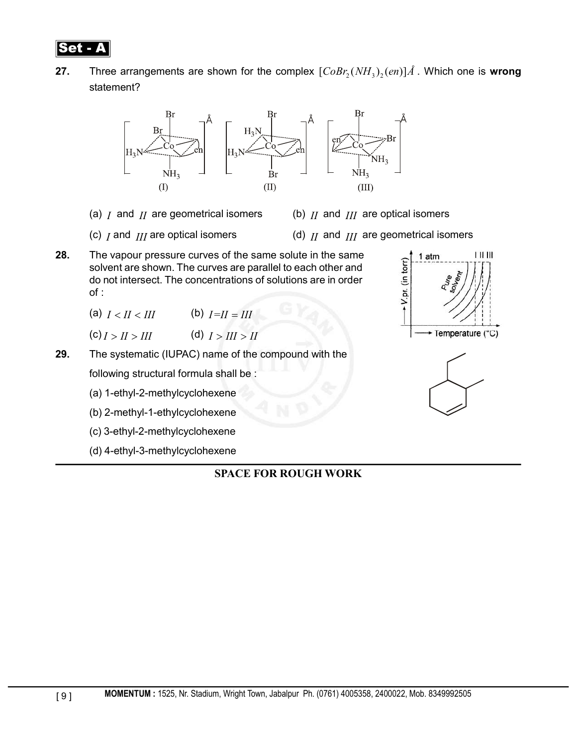

**27.** Three arrangements are shown for the complex  $[CoBr<sub>2</sub>(NH<sub>3</sub>)(en)]\AA$ . Which one is wrong statement?



- (a) *I* and *II* are geometrical isomers (b) *II* and *III* are optical isomers
	-
- 
- (c) *I* and *III* are optical isomers (d) *II* and *III* are geometrical isomers
- **28.** The vapour pressure curves of the same solute in the same solvent are shown. The curves are parallel to each other and do not intersect. The concentrations of solutions are in order of :
	- (a)  $I < II < III$  (b)  $I = II = III$
	- $(C) I > II > III$   $(d) I > III > II$

## **29.** The systematic (IUPAC) name of the compound with the following structural formula shall be :

- (a) 1-ethyl-2-methylcyclohexene
- (b) 2-methyl-1-ethylcyclohexene
- (c) 3-ethyl-2-methylcyclohexene
- (d) 4-ethyl-3-methylcyclohexene



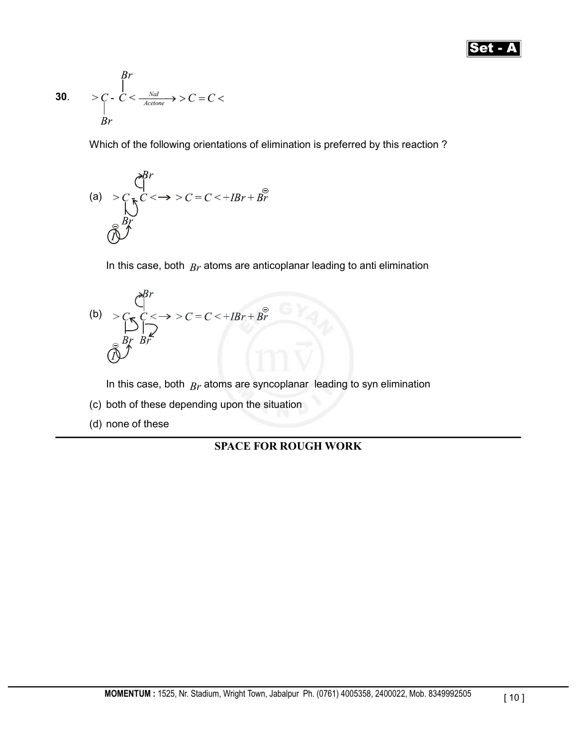## **Set** - *A*

$$
\begin{array}{ll}\n & \text{Br} \\
& & \text{Re} \\
& & \text{Re} \\
& & \text{Re} \\
& & \text{Re} \\
& & \text{Re} \\
& & \text{Re} \\
& & \text{Re} \\
& & \text{Re} \\
& & \text{Re} \\
& & \text{Re} \\
& & \text{Re} \\
& & \text{Re} \\
& & \text{Re} \\
& & \text{Re} \\
& & \text{Re} \\
& & \text{Re} \\
& & \text{Re} \\
& & \text{Re} \\
& & \text{Re} \\
& & \text{Re} \\
& & \text{Re} \\
& & \text{Re} \\
& & \text{Re} \\
& & \text{Re} \\
& & \text{Re} \\
& & \text{Re} \\
& & \text{Re} \\
& & \text{Re} \\
& & \text{Re} \\
& & \text{Re} \\
& & \text{Re} \\
& & \text{Re} \\
& & \text{Re} \\
& & \text{Re} \\
& & \text{Re} \\
& & \text{Re} \\
& & \text{Re} \\
& & \text{Re} \\
& & \text{Re} \\
& & \text{Re} \\
& & \text{Re} \\
& & \text{Re} \\
& & \text{Re} \\
& & \text{Re} \\
& & \text{Re} \\
& & \text{Re} \\
& & \text{Re} \\
& & \text{Re} \\
& & \text{Re} \\
& & \text{Re} \\
& & \text{Re} \\
& & \text{Re} \\
& & \text{Re} \\
& & \text{Re} \\
& & \text{Re} \\
& & \text{Re} \\
& & \text{Re} \\
& & \text{Re} \\
& & \text{Re} \\
& & \text{Re} \\
& & \text{Re} \\
& & \text{Re}
$$

Which of the following orientations of elimination is preferred by this reaction ?

(a) 
$$
> C
$$
  
\n $\left(\frac{e^{Br}}{\sqrt{C}}\right)^{C}$   
\n $\left(\frac{e^{Br}}{\sqrt{C}}\right)^{C}$   
\n $\left(\frac{e^{Br}}{\sqrt{C}}\right)^{C}$   
\n $\left(\frac{e^{Br}}{\sqrt{C}}\right)^{C}$ 

In this case, both *Br* atoms are anticoplanar leading to anti elimination

(b) 
$$
\sum_{\substack{C \subseteq C \\ |B| \\ |B| \\ |C}} \sum_{\substack{D \\ |B| \\ |D| \\ |D| \\ |D|}} \sum_{\substack{C < -\infty \\ |C| < -\infty \\ |C| < \infty}} \sum_{\substack{C < -\infty \\ |C| < -\infty \\ |C| < \infty}} \sum_{\substack{C < -\infty \\ |C| < -\infty \\ |C| < -\infty \\ |C| < \infty}} \sum_{\substack{C < -\infty \\ |C| < -\infty \\ |C| < -\infty \\ |C| < -\infty \quad |C| \leq \infty \quad |C| \leq \infty \quad |C| \leq \infty \quad |C| \leq \infty \quad |C| \leq \infty \quad |C| \leq \infty \quad |C| \leq \infty \quad |C| \leq \infty \quad |C| \leq \infty \quad |C| \leq \infty \quad |C| \leq \infty \quad |C| \leq \infty \quad |C| \leq \infty \quad |C| \leq \infty \quad |C| \leq \infty \quad |C| \leq \infty \quad |C| \leq \infty \quad |C| \leq \infty \quad |C| \leq \infty \quad |C| \leq \infty \quad |C| \leq \infty \quad |C| \leq \infty \quad |C| \leq \infty \quad |C| \leq \infty \quad |C| \leq \infty \quad |C| \leq \infty \quad |C| \leq \infty \quad |C| \leq \infty \quad |C| \leq \infty \quad |C| \leq \infty \quad |C| \leq \infty \quad |C| \leq \infty \quad |C| \leq \infty \quad |C| \leq \infty \quad |C| \leq \infty \quad |C| \leq \infty \quad |C| \leq \infty \quad |C| \leq \infty \quad |C| \leq \infty \quad |C| \leq \infty \quad |C| \leq \infty \quad |C| \leq \infty \quad |C| \leq \infty \quad |C| \leq \infty \quad |C| \leq \infty \quad |C| \leq \infty \quad |C| \leq \infty \quad |C| \leq \infty \quad |C| \leq \infty \
$$

In this case, both *Br* atoms are syncoplanar leading to syn elimination

- (c) both of these depending upon the situation
- (d) none of these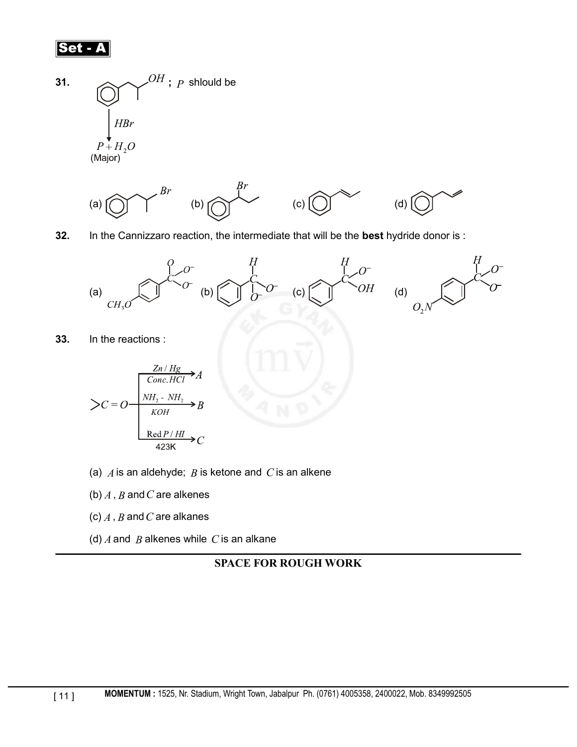





**32.** In the Cannizzaro reaction, the intermediate that will be the **best** hydride donor is :



**33.** In the reactions :

$$
\sum C = O \frac{\frac{Zn / Hg}{Conc.HCl} \rightarrow A}{\frac{NH_2 - NH_2}{KOH} \rightarrow B}
$$
  
Red *P* / *HI* 
$$
\rightarrow C
$$
  
423K

- (a) *A* is an aldehyde; *B* is ketone and *C* is an alkene
- (b) *A* , *B* and*C* are alkenes
- (c) *A* , *B* and*C* are alkanes
- (d) *A* and *B* alkenes while *C* is an alkane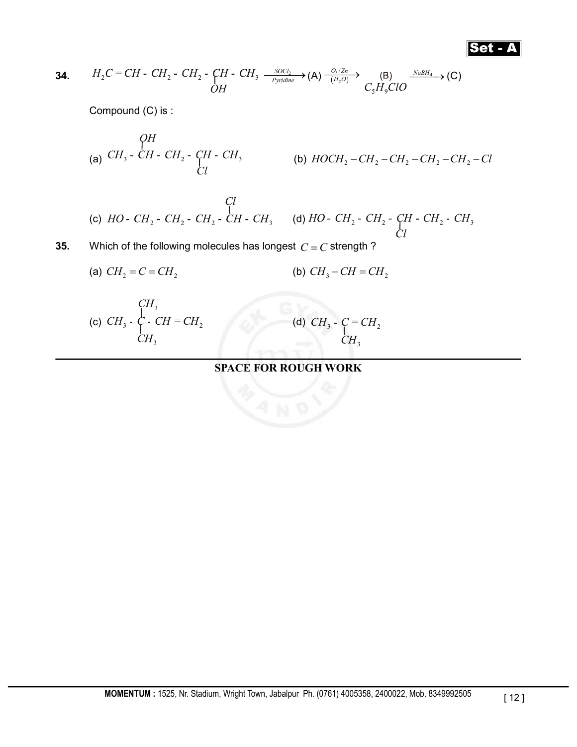$$
\fbox{\sf Set-}\mathbf{A}
$$

**34.** 
$$
H_2C = CH - CH_2 - CH_2 - CH_2 - CH - CH_3 \xrightarrow{\text{SOCl}_2} (A) \xrightarrow{\text{O}_3/\text{Zn}} (B) \xrightarrow{\text{NabH}_4} (C)
$$
  
OH

Compound (C) is :

(a) (b) *HOCH CH CH CH CH Cl* 2 2 2 2 2 - - - - -

(c)  $HO - CH_2 - CH_2 - CH_2 - CH_2 - CH - CH_3$ <br>(d)  $HO - CH_2 - CH_2 - CH_2 - CH_3 - CH_3$ <br>(d)  $HO - CH_2 - CH_2 - CH_2 - CH_3$ 

**35.** Which of the following molecules has longest  $C = C$  strength ?

(a) 
$$
CH_2 = C = CH_2
$$
   
 (b)  $CH_3 - CH = CH_2$ 

(c) 
$$
CH_3 - C_1 - CH = CH_2
$$
  
\n $CH_3$  (d)

(d) 
$$
CH_3
$$
 -  $\underset{CH_3}{C} = CH_2$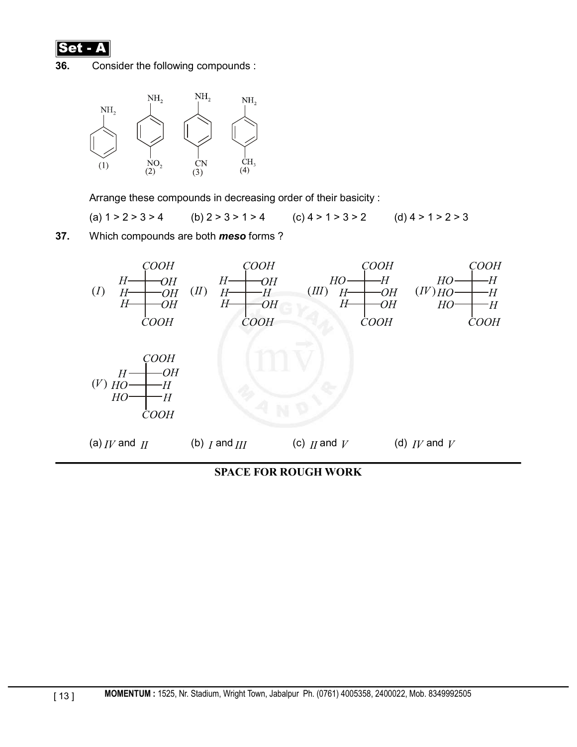

**36.** Consider the following compounds :



Arrange these compounds in decreasing order of their basicity :

(a)  $1 > 2 > 3 > 4$  (b)  $2 > 3 > 1 > 4$  (c)  $4 > 1 > 3 > 2$  (d)  $4 > 1 > 2 > 3$ 

**37.** Which compounds are both *meso* forms ?



**SPACE FOR ROUGH WORK**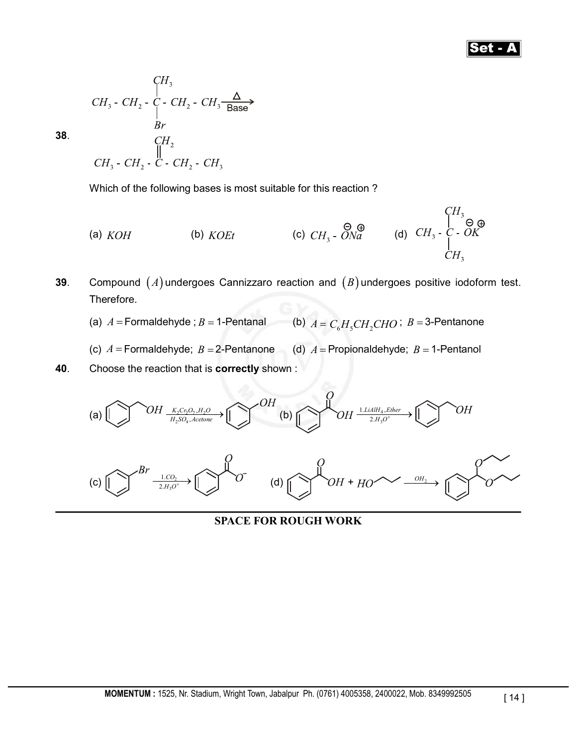## Set - A

**38**.

Which of the following bases is most suitable for this reaction ?

(a) KOH (b) KOEt (c) 
$$
CH_3
$$
 -  $\overline{ONa}$  (d)  $CH_3$  -  $\overline{C}$  -  $\overline{OK}$   
CH<sub>3</sub> -  $\overline{O} \oplus$   
CH<sub>3</sub> -  $\overline{C}$  -  $\overline{OK}$   
CH<sub>1</sub>

**39**. Compound  $(A)$  undergoes Cannizzaro reaction and  $(B)$  undergoes positive iodoform test. Therefore.

(a)  $A =$  Formaldehyde ;  $B = 1$ -Pentanal (b)  $A = C_6H_5CH_2CHO$ ;  $B = 3$ -Pentanone

- (c)  $A =$  Formaldehyde;  $B =$  2-Pentanone (d)  $A =$  Propionaldehyde;  $B =$  1-Pentanol
- **40**. Choose the reaction that is **correctly** shown :



**SPACE FOR ROUGH WORK**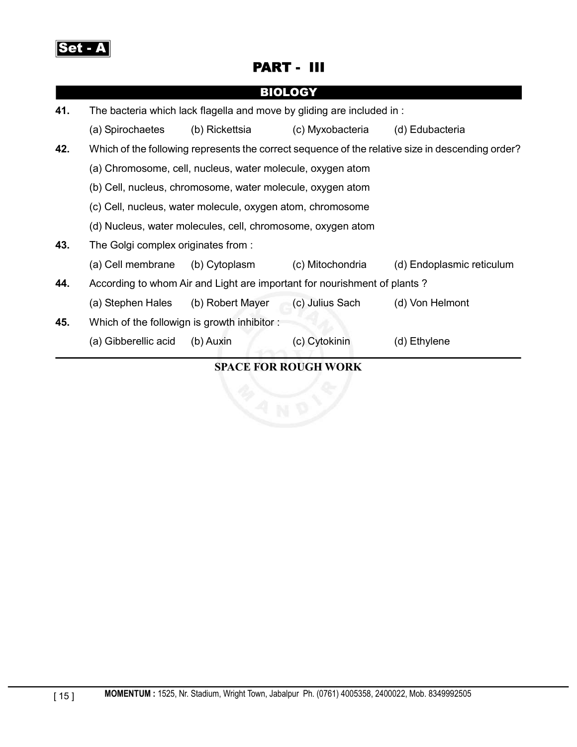

# PART - III

|     |                                                                                                  |                  | <b>BIOLOGY</b>   |                           |  |
|-----|--------------------------------------------------------------------------------------------------|------------------|------------------|---------------------------|--|
| 41. | The bacteria which lack flagella and move by gliding are included in:                            |                  |                  |                           |  |
|     | (a) Spirochaetes                                                                                 | (b) Rickettsia   | (c) Myxobacteria | (d) Edubacteria           |  |
| 42. | Which of the following represents the correct sequence of the relative size in descending order? |                  |                  |                           |  |
|     | (a) Chromosome, cell, nucleus, water molecule, oxygen atom                                       |                  |                  |                           |  |
|     | (b) Cell, nucleus, chromosome, water molecule, oxygen atom                                       |                  |                  |                           |  |
|     | (c) Cell, nucleus, water molecule, oxygen atom, chromosome                                       |                  |                  |                           |  |
|     | (d) Nucleus, water molecules, cell, chromosome, oxygen atom                                      |                  |                  |                           |  |
| 43. | The Golgi complex originates from:                                                               |                  |                  |                           |  |
|     | (a) Cell membrane                                                                                | (b) Cytoplasm    | (c) Mitochondria | (d) Endoplasmic reticulum |  |
| 44. | According to whom Air and Light are important for nourishment of plants?                         |                  |                  |                           |  |
|     | (a) Stephen Hales                                                                                | (b) Robert Mayer | (c) Julius Sach  | (d) Von Helmont           |  |
| 45. | Which of the followign is growth inhibitor:                                                      |                  |                  |                           |  |
|     | (a) Gibberellic acid                                                                             | (b) Auxin        | (c) Cytokinin    | (d) Ethylene              |  |
|     |                                                                                                  |                  |                  |                           |  |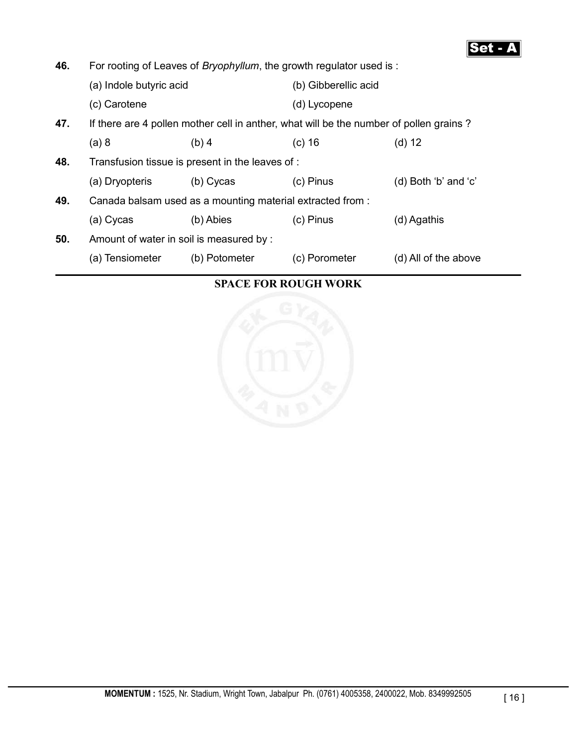

**46.** For rooting of Leaves of *Bryophyllum*, the growth regulator used is : (a) Indole butyric acid (b) Gibberellic acid (c) Carotene (d) Lycopene **47.** If there are 4 pollen mother cell in anther, what will be the number of pollen grains ? (a) 8 (b) 4 (c) 16 (d) 12 **48.** Transfusion tissue is present in the leaves of : (a) Dryopteris (b) Cycas (c) Pinus (d) Both 'b' and 'c' **49.** Canada balsam used as a mounting material extracted from : (a) Cycas (b) Abies (c) Pinus (d) Agathis **50.** Amount of water in soil is measured by : (a) Tensiometer (b) Potometer (c) Porometer (d) All of the above

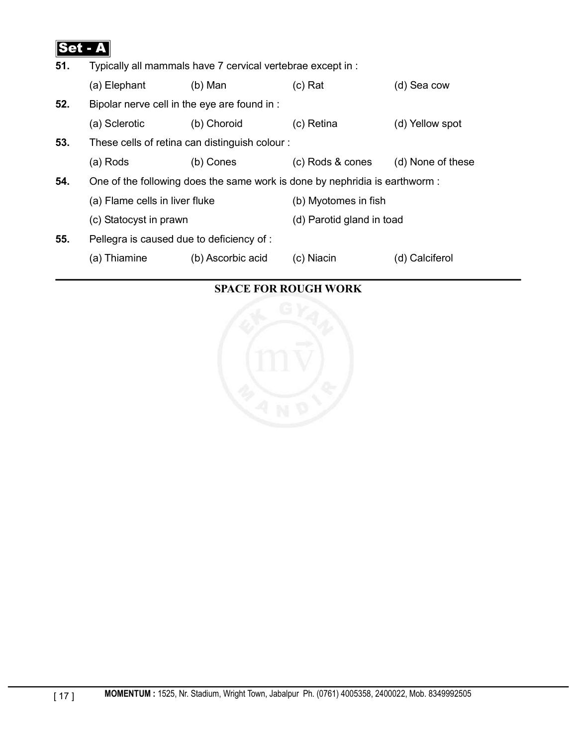

| Typically all mammals have 7 cervical vertebrae except in :<br>51.          |                   |                           |                                               |
|-----------------------------------------------------------------------------|-------------------|---------------------------|-----------------------------------------------|
| (a) Elephant                                                                | $(b)$ Man         | $(c)$ Rat                 | (d) Sea cow                                   |
| Bipolar nerve cell in the eye are found in :                                |                   |                           |                                               |
| (a) Sclerotic                                                               | (b) Choroid       | (c) Retina                | (d) Yellow spot                               |
|                                                                             |                   |                           |                                               |
| (a) Rods                                                                    | (b) Cones         | (c) Rods & cones          | (d) None of these                             |
| One of the following does the same work is done by nephridia is earthworm : |                   |                           |                                               |
| (a) Flame cells in liver fluke                                              |                   | (b) Myotomes in fish      |                                               |
| (c) Statocyst in prawn                                                      |                   | (d) Parotid gland in toad |                                               |
| Pellegra is caused due to deficiency of :                                   |                   |                           |                                               |
| (a) Thiamine                                                                | (b) Ascorbic acid | (c) Niacin                | (d) Calciferol                                |
|                                                                             |                   |                           | These cells of retina can distinguish colour: |